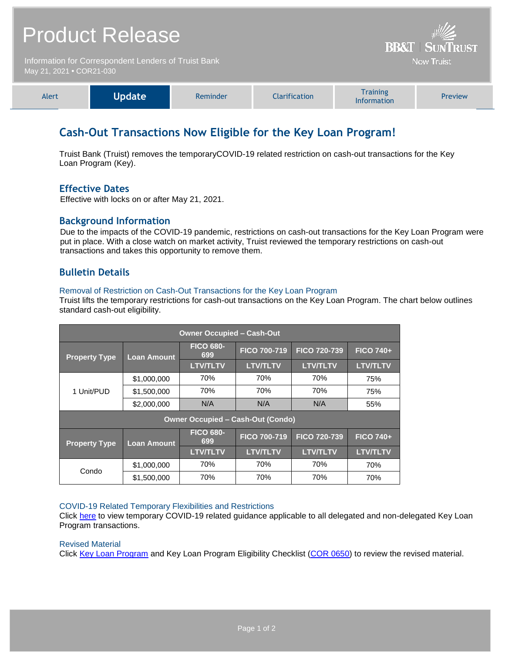# Product Release

Information for Correspondent Lenders of Truist Bank May 21, 2021 **•** COR21-030



**BB&T | SUNTRUST Now Truist** 

# **Cash-Out Transactions Now Eligible for the Key Loan Program!**

Truist Bank (Truist) removes the temporaryCOVID-19 related restriction on cash-out transactions for the Key Loan Program (Key).

### **Effective Dates**

Effective with locks on or after May 21, 2021.

### **Background Information**

Due to the impacts of the COVID-19 pandemic, restrictions on cash-out transactions for the Key Loan Program were put in place. With a close watch on market activity, Truist reviewed the temporary restrictions on cash-out transactions and takes this opportunity to remove them.

## **Bulletin Details**

#### Removal of Restriction on Cash-Out Transactions for the Key Loan Program

Truist lifts the temporary restrictions for cash-out transactions on the Key Loan Program. The chart below outlines standard cash-out eligibility.

| <b>Owner Occupied - Cash-Out</b>         |                    |                         |                     |                     |                  |  |
|------------------------------------------|--------------------|-------------------------|---------------------|---------------------|------------------|--|
| <b>Property Type</b>                     | <b>Loan Amount</b> | <b>FICO 680-</b><br>699 | <b>FICO 700-719</b> | <b>FICO 720-739</b> | <b>FICO 740+</b> |  |
|                                          |                    | <b>LTV/TLTV</b>         | <b>LTV/TLTV</b>     | <b>LTV/TLTV</b>     | <b>LTV/TLTV</b>  |  |
| 1 Unit/PUD                               | \$1,000,000        | 70%                     | 70%                 | 70%                 | 75%              |  |
|                                          | \$1,500,000        | 70%                     | 70%                 | 70%                 | 75%              |  |
|                                          | \$2,000,000        | N/A                     | N/A                 | N/A                 | 55%              |  |
| <b>Owner Occupied - Cash-Out (Condo)</b> |                    |                         |                     |                     |                  |  |
| <b>Property Type</b>                     | <b>Loan Amount</b> | <b>FICO 680-</b><br>699 | <b>FICO 700-719</b> | <b>FICO 720-739</b> | <b>FICO 740+</b> |  |
|                                          |                    | <b>LTV/TLTV</b>         | <b>LTV/TLTV</b>     | <b>LTV/TLTV</b>     | <b>LTV/TLTV</b>  |  |
| Condo                                    | \$1,000,000        | 70%                     | 70%                 | 70%                 | 70%              |  |
|                                          | \$1,500,000        | 70%                     | 70%                 | 70%                 | 70%              |  |

#### COVID-19 Related Temporary Flexibilities and Restrictions

Click [here](https://www.truistsellerguide.com/manual/cor/products/Cr21-030COVID.pdf) to view temporary COVID-19 related guidance applicable to all delegated and non-delegated Key Loan Program transactions.

#### Revised Material

Click [Key Loan Program](https://www.truistsellerguide.com/Manual/cor/products/CKey.pdf) and Key Loan Program Eligibility Checklist [\(COR 0650\)](https://www.truistsellerguide.com/manual/cor/forms/COR0650.pdf) to review the revised material.